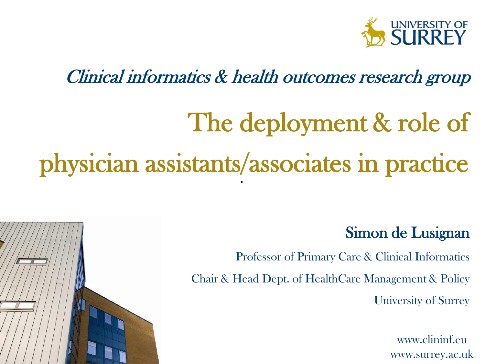

#### Clinical informatics & health outcomes research group

# The deployment & role of physician assistants/associates in practice



Professor of Primary Care & Clinical Informatics Chair & Head Dept. of HealthCare Management & Policy University of Surrey

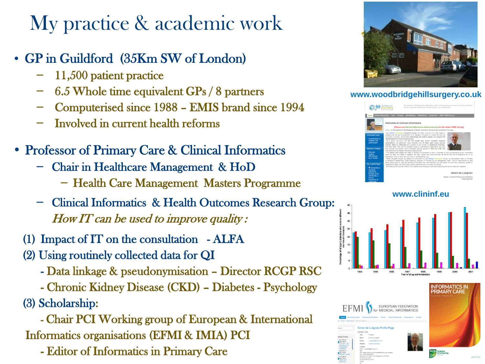#### My practice & academic work

- GP in Guildford (35Km SW of London)
	- 11,500 patient practice
	- 6.5 Whole time equivalent GPs / 8 partners
	- Computerised since 1988 EMIS brand since 1994
	- Involved in current health reforms
- Professor of Primary Care & Clinical Informatics
	- Chair in Healthcare Management & HoD
		- Health Care Management Masters Programme
	- Clinical Informatics & Health Outcomes Research Group: How IT can be used to improve quality:
	- (1) Impact of IT on the consultation ALFA
	- (2) Using routinely collected data for QI
		- Data linkage & pseudonymisation Director RCGP RSC
		- Chronic Kidney Disease (CKD) Diabetes Psychology
	- (3) Scholarship:

 - Chair PCI Working group of European & International Informatics organisations (EFMI & IMIA) PCI

- Editor of Informatics in Primary Care



**www.woodbridgehillsurgery.co.uk**



**www.clininf.eu**



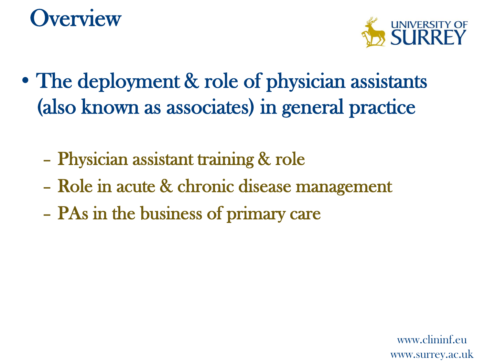### **Overview**



- The deployment & role of physician assistants (also known as associates) in general practice
	- Physician assistant training & role
	- Role in acute & chronic disease management
	- PAs in the business of primary care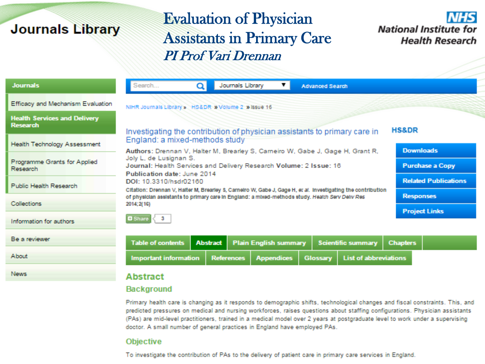#### **Journals Library**

#### Evaluation of Physician Assistants in Primary Care PI Prof Vari Drennan



| <b>Journals</b>                                        | Search                                                                                                                          | Q                                                                                                                                      | Journals Library                                    |                   | <b>Advanced Search</b> |                              |                 |                        |  |  |
|--------------------------------------------------------|---------------------------------------------------------------------------------------------------------------------------------|----------------------------------------------------------------------------------------------------------------------------------------|-----------------------------------------------------|-------------------|------------------------|------------------------------|-----------------|------------------------|--|--|
| Efficacy and Mechanism Evaluation                      |                                                                                                                                 |                                                                                                                                        | NIHR Journals Library » HS&DR » Volume 2 » Issue 16 |                   |                        |                              |                 |                        |  |  |
| <b>Health Services and Delivery</b><br><b>Research</b> | <b>HS&amp;DR</b><br>Investigating the contribution of physician assistants to primary care in<br>England: a mixed-methods study |                                                                                                                                        |                                                     |                   |                        |                              |                 |                        |  |  |
| <b>Health Technology Assessment</b>                    |                                                                                                                                 | Authors: Drennan V, Halter M, Brearley S, Carneiro W, Gabe J, Gage H, Grant R,                                                         |                                                     |                   |                        |                              |                 | <b>Downloads</b>       |  |  |
| Programme Grants for Applied<br>Research               | Joly L, de Lusignan S.<br>Journal: Health Services and Delivery Research Volume: 2 Issue: 16<br>Publication date: June 2014     |                                                                                                                                        |                                                     |                   |                        |                              |                 | <b>Purchase a Copy</b> |  |  |
| Public Health Research                                 |                                                                                                                                 | DOI: 10.3310/hsdr02160<br>Citation: Drennan V, Halter M, Brearley S, Carnelro W, Gabe J, Gage H, er al. Investigating the contribution |                                                     |                   |                        |                              |                 |                        |  |  |
| <b>Collections</b>                                     | of physician assistants to primary care in England: a mixed-methods study. Health Serv Deliv Res<br>2014; 2(16)                 |                                                                                                                                        | <b>Responses</b>                                    |                   |                        |                              |                 |                        |  |  |
|                                                        | $\blacksquare$ Share $\vert \langle \vert 3 \rangle$                                                                            | <b>Project Links</b>                                                                                                                   |                                                     |                   |                        |                              |                 |                        |  |  |
| Information for authors                                |                                                                                                                                 |                                                                                                                                        |                                                     |                   |                        |                              |                 |                        |  |  |
| Be a reviewer                                          | <b>Table of contents</b>                                                                                                        | <b>Abstract</b>                                                                                                                        | <b>Plain English summary</b>                        |                   |                        | <b>Scientific summary</b>    | <b>Chapters</b> |                        |  |  |
| About                                                  | <b>Important information</b>                                                                                                    |                                                                                                                                        | <b>References</b>                                   | <b>Appendices</b> | Glossary               | <b>List of abbreviations</b> |                 |                        |  |  |
| <b>News</b>                                            | Abstract                                                                                                                        |                                                                                                                                        |                                                     |                   |                        |                              |                 |                        |  |  |

#### **Background**

Primary health care is changing as it responds to demographic shifts, technological changes and fiscal constraints. This, and predicted pressures on medical and nursing workforces, raises questions about staffing configurations. Physician assistants (PAs) are mid-level practitioners, trained in a medical model over 2 years at postgraduate level to work under a supervising doctor. A small number of general practices in England have employed PAs.

#### **Objective**

To investigate the contribution of PAs to the delivery of patient care in primary care services in England.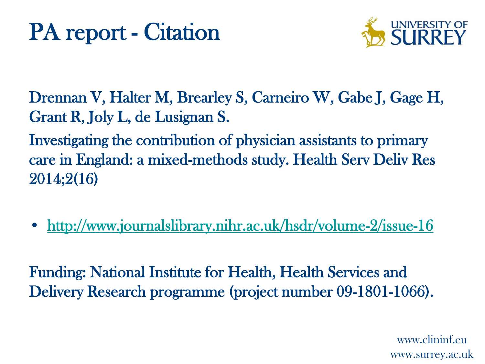

Drennan V, Halter M, Brearley S, Carneiro W, Gabe J, Gage H, Grant R, Joly L, de Lusignan S.

Investigating the contribution of physician assistants to primary care in England: a mixed-methods study. Health Serv Deliv Res 2014;2(16)

• <http://www.journalslibrary.nihr.ac.uk/hsdr/volume-2/issue-16>

Funding: National Institute for Health, Health Services and Delivery Research programme (project number 09-1801-1066).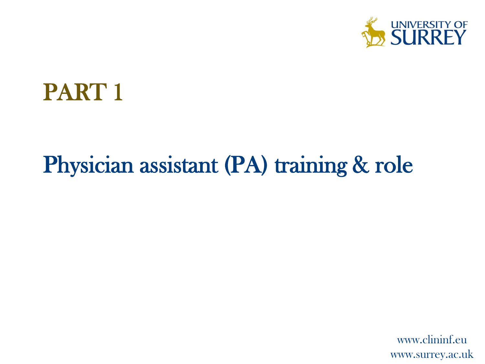

#### PART 1

#### Physician assistant (PA) training & role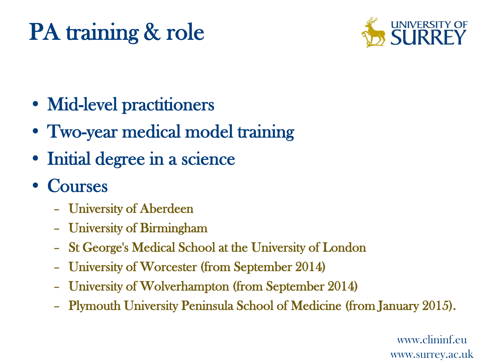## PA training & role



- Mid-level practitioners
- Two-year medical model training
- Initial degree in a science
- Courses
	- University of Aberdeen
	- University of Birmingham
	- St George's Medical School at the University of London
	- University of Worcester (from September 2014)
	- University of Wolverhampton (from September 2014)
	- Plymouth University Peninsula School of Medicine (from January 2015).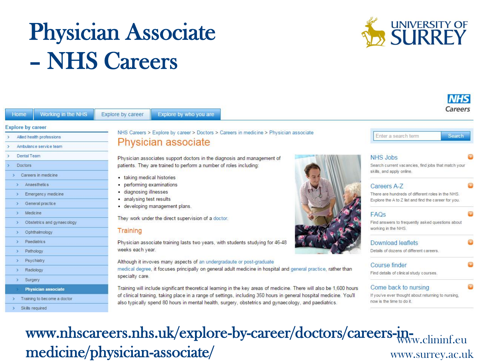## Physician Associate – NHS Careers



| Home                     | <b>Working in the NHS</b>   | Explore by career          | Explore by who you are                                                                                                                                                                                                       | Careers                                                                         | <b>NHS</b> |  |  |  |
|--------------------------|-----------------------------|----------------------------|------------------------------------------------------------------------------------------------------------------------------------------------------------------------------------------------------------------------------|---------------------------------------------------------------------------------|------------|--|--|--|
| <b>Explore by career</b> |                             |                            |                                                                                                                                                                                                                              |                                                                                 |            |  |  |  |
|                          | Allied health professions   |                            | NHS Careers > Explore by career > Doctors > Careers in medicine > Physician associate                                                                                                                                        | Enter a search term<br>Search                                                   |            |  |  |  |
|                          | Ambulance service team      |                            | Physician associate                                                                                                                                                                                                          |                                                                                 |            |  |  |  |
| Dental Team              |                             |                            | Physician associates support doctors in the diagnosis and management of                                                                                                                                                      | NHS Jobs                                                                        |            |  |  |  |
| <b>Doctors</b>           |                             |                            | patients. They are trained to perform a number of roles including:                                                                                                                                                           | Search current vacancies, find jobs that match your                             |            |  |  |  |
|                          | Careers in medicine         | • taking medical histories |                                                                                                                                                                                                                              | skills, and apply online.                                                       |            |  |  |  |
|                          | Anaesthetics                | • performing examinations  |                                                                                                                                                                                                                              | Careers A-7                                                                     |            |  |  |  |
|                          | Emergency medicine          | · diagnosing illnesses     |                                                                                                                                                                                                                              | There are hundreds of different roles in the NHS.                               |            |  |  |  |
|                          | General practice            | • analysing test results   | · developing management plans.                                                                                                                                                                                               | Explore the A to Z list and find the career for you.                            |            |  |  |  |
|                          | Medic ine                   |                            |                                                                                                                                                                                                                              | FAQs                                                                            |            |  |  |  |
|                          | Obstetrics and gynaecology  |                            | They work under the direct supervision of a doctor.                                                                                                                                                                          | Find answers to frequently asked questions about                                |            |  |  |  |
|                          | Ophthalmology               | Training                   |                                                                                                                                                                                                                              | working in the NHS.                                                             |            |  |  |  |
|                          | <b>Paediatrics</b>          |                            | Physician associate training lasts two years, with students studying for 46-48                                                                                                                                               | Download leaflets                                                               |            |  |  |  |
|                          | Pathology                   | weeks each year.           |                                                                                                                                                                                                                              | Details of dozens of different careers.                                         |            |  |  |  |
|                          | Psychiatry                  |                            | Although it invoves many aspects of an undergradaute or post-graduate                                                                                                                                                        |                                                                                 |            |  |  |  |
|                          | Radiology                   |                            | medical degree, it focuses principally on general adult medicine in hospital and general practice, rather than                                                                                                               | Course finder<br>Find details of clinical study courses.                        |            |  |  |  |
|                          | Surgery                     | specialty care.            |                                                                                                                                                                                                                              |                                                                                 |            |  |  |  |
|                          | <b>Physician associate</b>  |                            | Training will include significant theoretical learning in the key areas of medicine. There will also be 1,600 hours                                                                                                          | Come back to nursing                                                            |            |  |  |  |
|                          | Training to become a doctor |                            | of clinical training, taking place in a range of settings, including 350 hours in general hospital medicine. You'll<br>also typically spend 80 hours in mental health, surgery, obstetrics and gynaecology, and paediatrics. | If you've ever thought about returning to nursing.<br>now is the time to do it. |            |  |  |  |
|                          | Skills required             |                            |                                                                                                                                                                                                                              |                                                                                 |            |  |  |  |

#### www.nhscareers.nhs.uk/explore-by-career/doctors/careers-inwww.surrey.ac.uk medicine/physician-associate/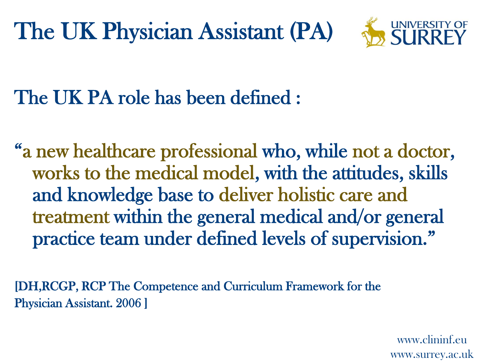The UK Physician Assistant (PA)



The UK PA role has been defined :

"a new healthcare professional who, while not a doctor, works to the medical model, with the attitudes, skills and knowledge base to deliver holistic care and treatment within the general medical and/or general practice team under defined levels of supervision."

[DH,RCGP, RCP The Competence and Curriculum Framework for the Physician Assistant. 2006 ]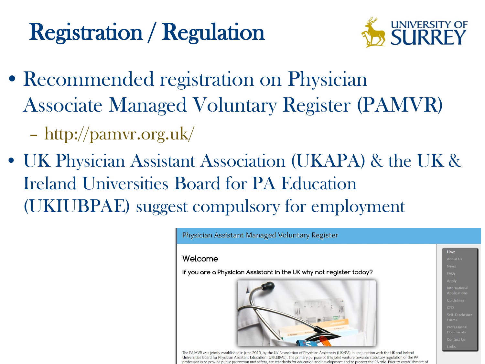## Registration / Regulation



- Recommended registration on Physician Associate Managed Voluntary Register (PAMVR)
	- http://pamvr.org.uk/
- UK Physician Assistant Association (UKAPA) & the UK & Ireland Universities Board for PA Education (UKIUBPAE) suggest compulsory for employment

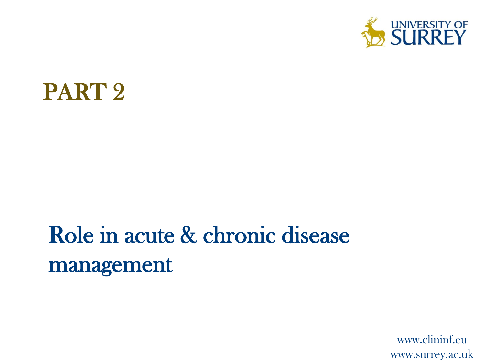

#### PART 2

### Role in acute & chronic disease management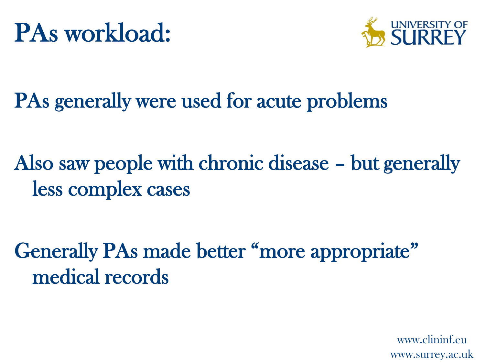

#### PAs generally were used for acute problems

Also saw people with chronic disease – but generally less complex cases

Generally PAs made better "more appropriate" medical records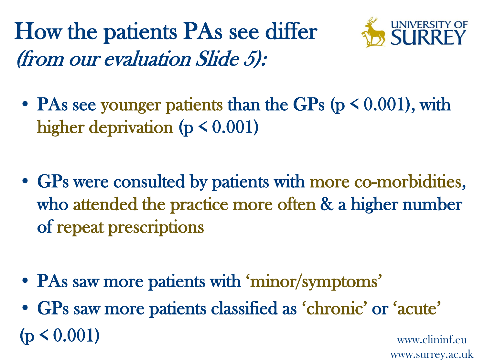How the patients PAs see differ (from our evaluation Slide 5):



- PAs see younger patients than the GPs ( $p \le 0.001$ ), with higher deprivation ( $p \leq 0.001$ )
- GPs were consulted by patients with more co-morbidities, who attended the practice more often & a higher number of repeat prescriptions
- PAs saw more patients with 'minor/symptoms'
- www.clininf.eu • GPs saw more patients classified as 'chronic' or 'acute'  $(p < 0.001)$

www.surrey.ac.uk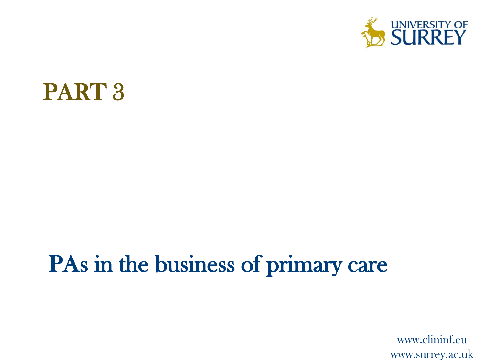

#### PART 3

#### PAs in the business of primary care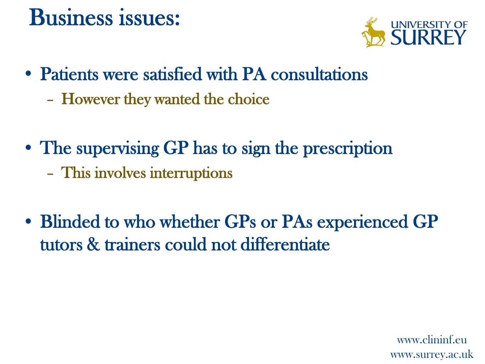#### Business issues:



- Patients were satisfied with PA consultations
	- However they wanted the choice
- The supervising GP has to sign the prescription – This involves interruptions
- Blinded to who whether GPs or PAs experienced GP tutors & trainers could not differentiate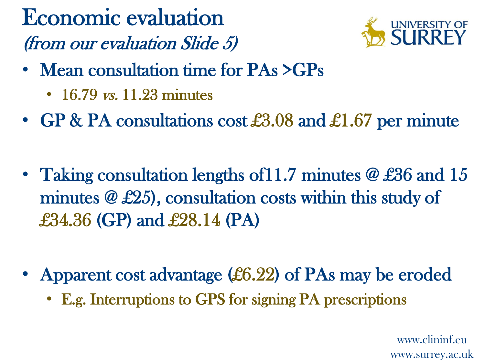Economic evaluation (from our evaluation Slide 5)



- Mean consultation time for PAs >GPs
	- 16.79 *vs.* 11.23 minutes
- GP & PA consultations cost £3.08 and £1.67 per minute
- Taking consultation lengths of 11.7 minutes  $\omega$  £36 and 15 minutes @ £25), consultation costs within this study of £34.36 (GP) and £28.14 (PA)
- Apparent cost advantage (£6.22) of PAs may be eroded
	- E.g. Interruptions to GPS for signing PA prescriptions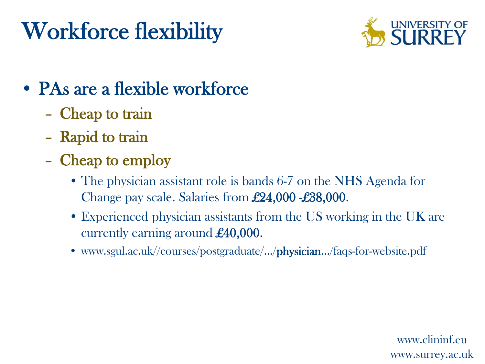## Workforce flexibility



#### • PAs are a flexible workforce

- Cheap to train
- Rapid to train
- Cheap to employ
	- The physician assistant role is bands 6-7 on the NHS Agenda for Change pay scale. Salaries from £24,000 -£38,000.
	- Experienced physician assistants from the US working in the UK are currently earning around £40,000.
	- www.sgul.ac.uk//courses/postgraduate/.../physician.../faqs-for-website.pdf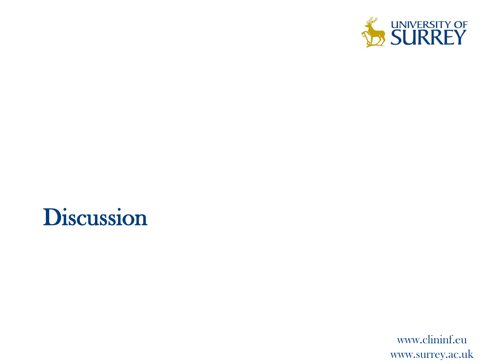

#### Discussion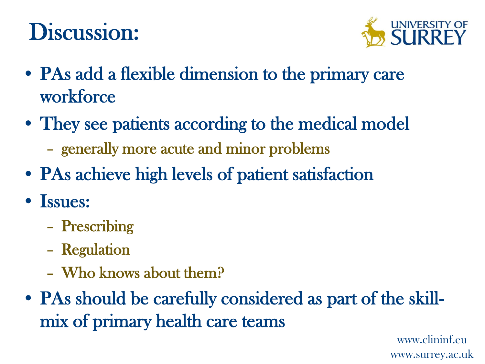### Discussion:



- PAs add a flexible dimension to the primary care workforce
- They see patients according to the medical model
	- generally more acute and minor problems
- PAs achieve high levels of patient satisfaction
- Issues:
	- Prescribing
	- Regulation
	- Who knows about them?
- PAs should be carefully considered as part of the skillmix of primary health care teams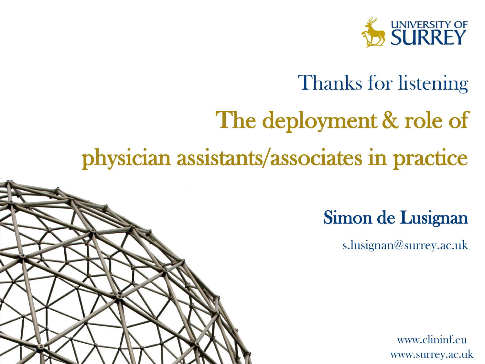

#### Thanks for listening

# The deployment & role of

#### physician assistants/associates in practice

Simon de Lusignan

s.lusignan@surrey.ac.uk